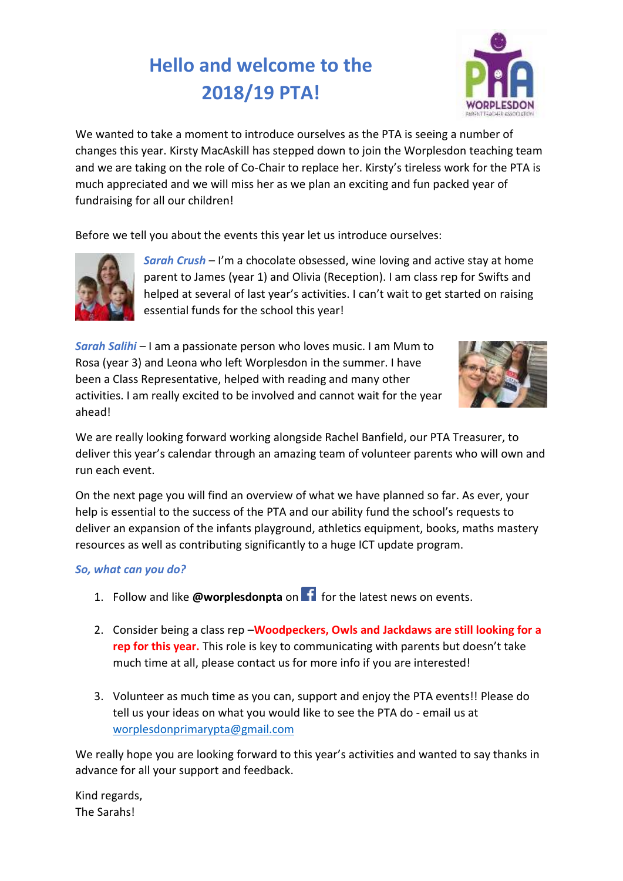## **Hello and welcome to the 2018/19 PTA!**



We wanted to take a moment to introduce ourselves as the PTA is seeing a number of changes this year. Kirsty MacAskill has stepped down to join the Worplesdon teaching team and we are taking on the role of Co-Chair to replace her. Kirsty's tireless work for the PTA is much appreciated and we will miss her as we plan an exciting and fun packed year of fundraising for all our children!

Before we tell you about the events this year let us introduce ourselves:



*Sarah Crush* – I'm a chocolate obsessed, wine loving and active stay at home parent to James (year 1) and Olivia (Reception). I am class rep for Swifts and helped at several of last year's activities. I can't wait to get started on raising essential funds for the school this year!

*Sarah Salihi* – I am a passionate person who loves music. I am Mum to Rosa (year 3) and Leona who left Worplesdon in the summer. I have been a Class Representative, helped with reading and many other activities. I am really excited to be involved and cannot wait for the year ahead!



We are really looking forward working alongside Rachel Banfield, our PTA Treasurer, to deliver this year's calendar through an amazing team of volunteer parents who will own and run each event.

On the next page you will find an overview of what we have planned so far. As ever, your help is essential to the success of the PTA and our ability fund the school's requests to deliver an expansion of the infants playground, athletics equipment, books, maths mastery resources as well as contributing significantly to a huge ICT update program.

## *So, what can you do?*

- 1. Follow and like **@worplesdonpta** on **for** for the latest news on events.
- 2. Consider being a class rep –**Woodpeckers, Owls and Jackdaws are still looking for a rep for this year.** This role is key to communicating with parents but doesn't take much time at all, please contact us for more info if you are interested!
- 3. Volunteer as much time as you can, support and enjoy the PTA events!! Please do tell us your ideas on what you would like to see the PTA do - email us at [worplesdonprimarypta@gmail.com](mailto:worplesdonprimarypta@gmail.com)

We really hope you are looking forward to this year's activities and wanted to say thanks in advance for all your support and feedback.

Kind regards, The Sarahs!